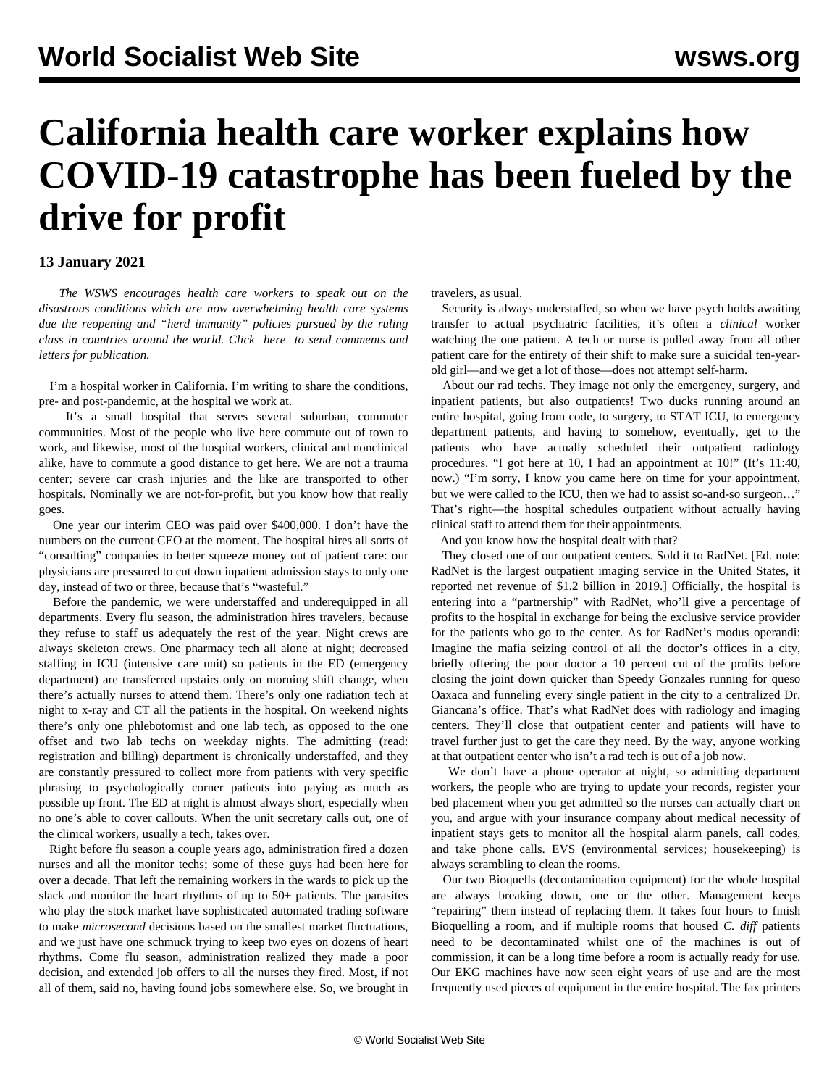## **California health care worker explains how COVID-19 catastrophe has been fueled by the drive for profit**

## **13 January 2021**

 *The WSWS encourages health care workers to speak out on the disastrous conditions which are now overwhelming health care systems due the reopening and "herd immunity" policies pursued by the ruling class in countries around the world. Click [here](/en/special/pages/contact.html) to send comments and letters for publication.*

 I'm a hospital worker in California. I'm writing to share the conditions, pre- and post-pandemic, at the hospital we work at.

 It's a small hospital that serves several suburban, commuter communities. Most of the people who live here commute out of town to work, and likewise, most of the hospital workers, clinical and nonclinical alike, have to commute a good distance to get here. We are not a trauma center; severe car crash injuries and the like are transported to other hospitals. Nominally we are not-for-profit, but you know how that really goes.

 One year our interim CEO was paid over \$400,000. I don't have the numbers on the current CEO at the moment. The hospital hires all sorts of "consulting" companies to better squeeze money out of patient care: our physicians are pressured to cut down inpatient admission stays to only one day, instead of two or three, because that's "wasteful."

 Before the pandemic, we were understaffed and underequipped in all departments. Every flu season, the administration hires travelers, because they refuse to staff us adequately the rest of the year. Night crews are always skeleton crews. One pharmacy tech all alone at night; decreased staffing in ICU (intensive care unit) so patients in the ED (emergency department) are transferred upstairs only on morning shift change, when there's actually nurses to attend them. There's only one radiation tech at night to x-ray and CT all the patients in the hospital. On weekend nights there's only one phlebotomist and one lab tech, as opposed to the one offset and two lab techs on weekday nights. The admitting (read: registration and billing) department is chronically understaffed, and they are constantly pressured to collect more from patients with very specific phrasing to psychologically corner patients into paying as much as possible up front. The ED at night is almost always short, especially when no one's able to cover callouts. When the unit secretary calls out, one of the clinical workers, usually a tech, takes over.

 Right before flu season a couple years ago, administration fired a dozen nurses and all the monitor techs; some of these guys had been here for over a decade. That left the remaining workers in the wards to pick up the slack and monitor the heart rhythms of up to 50+ patients. The parasites who play the stock market have sophisticated automated trading software to make *microsecond* decisions based on the smallest market fluctuations, and we just have one schmuck trying to keep two eyes on dozens of heart rhythms. Come flu season, administration realized they made a poor decision, and extended job offers to all the nurses they fired. Most, if not all of them, said no, having found jobs somewhere else. So, we brought in travelers, as usual.

 Security is always understaffed, so when we have psych holds awaiting transfer to actual psychiatric facilities, it's often a *clinical* worker watching the one patient. A tech or nurse is pulled away from all other patient care for the entirety of their shift to make sure a suicidal ten-yearold girl—and we get a lot of those—does not attempt self-harm.

 About our rad techs. They image not only the emergency, surgery, and inpatient patients, but also outpatients! Two ducks running around an entire hospital, going from code, to surgery, to STAT ICU, to emergency department patients, and having to somehow, eventually, get to the patients who have actually scheduled their outpatient radiology procedures. "I got here at 10, I had an appointment at 10!" (It's 11:40, now.) "I'm sorry, I know you came here on time for your appointment, but we were called to the ICU, then we had to assist so-and-so surgeon…" That's right—the hospital schedules outpatient without actually having clinical staff to attend them for their appointments.

And you know how the hospital dealt with that?

 They closed one of our outpatient centers. Sold it to RadNet. [Ed. note: RadNet is the largest outpatient imaging service in the United States, it reported net revenue of \$1.2 billion in 2019.] Officially, the hospital is entering into a "partnership" with RadNet, who'll give a percentage of profits to the hospital in exchange for being the exclusive service provider for the patients who go to the center. As for RadNet's modus operandi: Imagine the mafia seizing control of all the doctor's offices in a city, briefly offering the poor doctor a 10 percent cut of the profits before closing the joint down quicker than Speedy Gonzales running for queso Oaxaca and funneling every single patient in the city to a centralized Dr. Giancana's office. That's what RadNet does with radiology and imaging centers. They'll close that outpatient center and patients will have to travel further just to get the care they need. By the way, anyone working at that outpatient center who isn't a rad tech is out of a job now.

 We don't have a phone operator at night, so admitting department workers, the people who are trying to update your records, register your bed placement when you get admitted so the nurses can actually chart on you, and argue with your insurance company about medical necessity of inpatient stays gets to monitor all the hospital alarm panels, call codes, and take phone calls. EVS (environmental services; housekeeping) is always scrambling to clean the rooms.

 Our two Bioquells (decontamination equipment) for the whole hospital are always breaking down, one or the other. Management keeps "repairing" them instead of replacing them. It takes four hours to finish Bioquelling a room, and if multiple rooms that housed *C. diff* patients need to be decontaminated whilst one of the machines is out of commission, it can be a long time before a room is actually ready for use. Our EKG machines have now seen eight years of use and are the most frequently used pieces of equipment in the entire hospital. The fax printers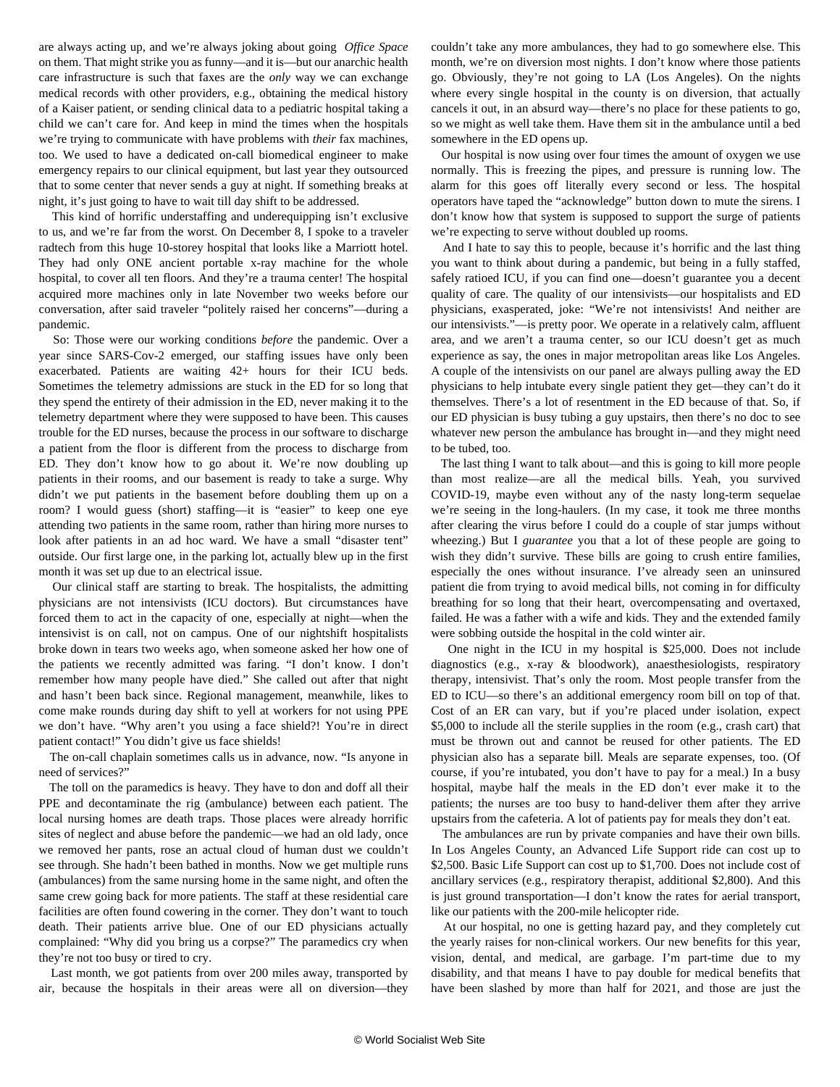are always acting up, and we're always joking about going *[Office Space](https://youtu.be/N9wsjroVlu8)* on them. That might strike you as funny—and it is—but our anarchic health care infrastructure is such that faxes are the *only* way we can exchange medical records with other providers, e.g., obtaining the medical history of a Kaiser patient, or sending clinical data to a pediatric hospital taking a child we can't care for. And keep in mind the times when the hospitals we're trying to communicate with have problems with *their* fax machines, too. We used to have a dedicated on-call biomedical engineer to make emergency repairs to our clinical equipment, but last year they outsourced that to some center that never sends a guy at night. If something breaks at night, it's just going to have to wait till day shift to be addressed.

 This kind of horrific understaffing and underequipping isn't exclusive to us, and we're far from the worst. On December 8, I spoke to a traveler radtech from this huge 10-storey hospital that looks like a Marriott hotel. They had only ONE ancient portable x-ray machine for the whole hospital, to cover all ten floors. And they're a trauma center! The hospital acquired more machines only in late November two weeks before our conversation, after said traveler "politely raised her concerns"—during a pandemic.

 So: Those were our working conditions *before* the pandemic. Over a year since SARS-Cov-2 emerged, our staffing issues have only been exacerbated. Patients are waiting 42+ hours for their ICU beds. Sometimes the telemetry admissions are stuck in the ED for so long that they spend the entirety of their admission in the ED, never making it to the telemetry department where they were supposed to have been. This causes trouble for the ED nurses, because the process in our software to discharge a patient from the floor is different from the process to discharge from ED. They don't know how to go about it. We're now doubling up patients in their rooms, and our basement is ready to take a surge. Why didn't we put patients in the basement before doubling them up on a room? I would guess (short) staffing—it is "easier" to keep one eye attending two patients in the same room, rather than hiring more nurses to look after patients in an ad hoc ward. We have a small "disaster tent" outside. Our first large one, in the parking lot, actually blew up in the first month it was set up due to an electrical issue.

 Our clinical staff are starting to break. The hospitalists, the admitting physicians are not intensivists (ICU doctors). But circumstances have forced them to act in the capacity of one, especially at night—when the intensivist is on call, not on campus. One of our nightshift hospitalists broke down in tears two weeks ago, when someone asked her how one of the patients we recently admitted was faring. "I don't know. I don't remember how many people have died." She called out after that night and hasn't been back since. Regional management, meanwhile, likes to come make rounds during day shift to yell at workers for not using PPE we don't have. "Why aren't you using a face shield?! You're in direct patient contact!" You didn't give us face shields!

 The on-call chaplain sometimes calls us in advance, now. "Is anyone in need of services?"

 The toll on the paramedics is heavy. They have to don and doff all their PPE and decontaminate the rig (ambulance) between each patient. The local nursing homes are death traps. Those places were already horrific sites of neglect and abuse before the pandemic—we had an old lady, once we removed her pants, rose an actual cloud of human dust we couldn't see through. She hadn't been bathed in months. Now we get multiple runs (ambulances) from the same nursing home in the same night, and often the same crew going back for more patients. The staff at these residential care facilities are often found cowering in the corner. They don't want to touch death. Their patients arrive blue. One of our ED physicians actually complained: "Why did you bring us a corpse?" The paramedics cry when they're not too busy or tired to cry.

 Last month, we got patients from over 200 miles away, transported by air, because the hospitals in their areas were all on diversion—they couldn't take any more ambulances, they had to go somewhere else. This month, we're on diversion most nights. I don't know where those patients go. Obviously, they're not going to LA (Los Angeles). On the nights where every single hospital in the county is on diversion, that actually cancels it out, in an absurd way—there's no place for these patients to go, so we might as well take them. Have them sit in the ambulance until a bed somewhere in the ED opens up.

 Our hospital is now using over four times the amount of oxygen we use normally. This is freezing the pipes, and pressure is running low. The alarm for this goes off literally every second or less. The hospital operators have taped the "acknowledge" button down to mute the sirens. I don't know how that system is supposed to support the surge of patients we're expecting to serve without doubled up rooms.

 And I hate to say this to people, because it's horrific and the last thing you want to think about during a pandemic, but being in a fully staffed, safely ratioed ICU, if you can find one—doesn't guarantee you a decent quality of care. The quality of our intensivists—our hospitalists and ED physicians, exasperated, joke: "We're not intensivists! And neither are our intensivists."—is pretty poor. We operate in a relatively calm, affluent area, and we aren't a trauma center, so our ICU doesn't get as much experience as say, the ones in major metropolitan areas like Los Angeles. A couple of the intensivists on our panel are always pulling away the ED physicians to help intubate every single patient they get—they can't do it themselves. There's a lot of resentment in the ED because of that. So, if our ED physician is busy tubing a guy upstairs, then there's no doc to see whatever new person the ambulance has brought in—and they might need to be tubed, too.

 The last thing I want to talk about—and this is going to kill more people than most realize—are all the medical bills. Yeah, you survived COVID-19, maybe even without any of the nasty long-term sequelae we're seeing in the long-haulers. (In my case, it took me three months after clearing the virus before I could do a couple of star jumps without wheezing.) But I *guarantee* you that a lot of these people are going to wish they didn't survive. These bills are going to crush entire families, especially the ones without insurance. I've already seen an uninsured patient die from trying to avoid medical bills, not coming in for difficulty breathing for so long that their heart, overcompensating and overtaxed, failed. He was a father with a wife and kids. They and the extended family were sobbing outside the hospital in the cold winter air.

 One night in the ICU in my hospital is \$25,000. Does not include diagnostics (e.g., x-ray & bloodwork), anaesthesiologists, respiratory therapy, intensivist. That's only the room. Most people transfer from the ED to ICU—so there's an additional emergency room bill on top of that. Cost of an ER can vary, but if you're placed under isolation, expect \$5,000 to include all the sterile supplies in the room (e.g., crash cart) that must be thrown out and cannot be reused for other patients. The ED physician also has a separate bill. Meals are separate expenses, too. (Of course, if you're intubated, you don't have to pay for a meal.) In a busy hospital, maybe half the meals in the ED don't ever make it to the patients; the nurses are too busy to hand-deliver them after they arrive upstairs from the cafeteria. A lot of patients pay for meals they don't eat.

 The ambulances are run by private companies and have their own bills. In Los Angeles County, an Advanced Life Support ride can cost up to \$2,500. Basic Life Support can cost up to \$1,700. Does not include cost of ancillary services (e.g., respiratory therapist, additional \$2,800). And this is just ground transportation—I don't know the rates for aerial transport, like our patients with the 200-mile helicopter ride.

 At our hospital, no one is getting hazard pay, and they completely cut the yearly raises for non-clinical workers. Our new benefits for this year, vision, dental, and medical, are garbage. I'm part-time due to my disability, and that means I have to pay double for medical benefits that have been slashed by more than half for 2021, and those are just the